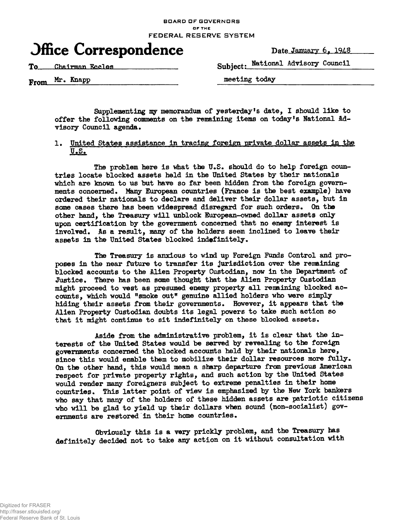#### **BOARD OF GOVERNORS DF THE FEDERAL RESERVE SYSTEM**

# **Office Correspondence** Date January 6, 1948

To Chairman Eccles **Subject: National Advisory Council** 

**From**  $Mr.$  **Knapp** meeting today

Supplementing my memorandum of yesterday's date, I should like to offer the following comments on the remaining items on today's National Advisory Council agenda.

## 1. United States assistance in tracing foreign private dollar assets in the  $U.S.$

The problem here is what the U.S. should do to help foreign countries locate blocked assets held in the United States by their nationals which are known to us but have so far been hidden from the foreign governments concerned. Many European countries (France is the best example) have ordered their nationals to declare and deliver their dollar assets, but in some cases there has been widespread disregard for such orders. On the other hand, the Treasury will unblock European-owned dollar assets only upon certification by the government concerned that no enemy interest is involved. As a result, many of the holders seem inclined to leave their assets in the United States blocked indefinitely.

The Treasury is anxious to wind up Foreign Funds Control and proposes in the near future to transfer its jurisdiction over the remaining blocked accounts to the llien Property Custodian, now in the Department of Justice. There has been some thought that the Alien Property Custodian might proceed to vest as presumed enemy property all remining blocked accounts, which would "smoke out" genuine allied holders who were simply hiding their assets from their governments. However, it appears that the Alien Property Custodian doubts its legal powers to take such action so that it might continue to sit indefinitely on these blocked assets.

Aside from the administrative problem, it is clear that the interests of the United States would be served by revealing to the foreign governments concerned the blocked accounts held by their nationals here, since this would enable them to mobilize their dollar resources more fully. On the other hand, this would mean a sharp departure from previous American respect for private property rights, and such action by the United States would render many foreigners subject to extreme penalties in their home countries. This latter point of view is emphasized by the New York bankers who say that many of the holders of these hidden assets are patriotic citizens who will be glad to yield up their dollars when sound (non-socialist) governments are restored in their home countries.

Obviously this is a very prickly problem, and the Treasury has definitely decided not to take any action on it without consultation with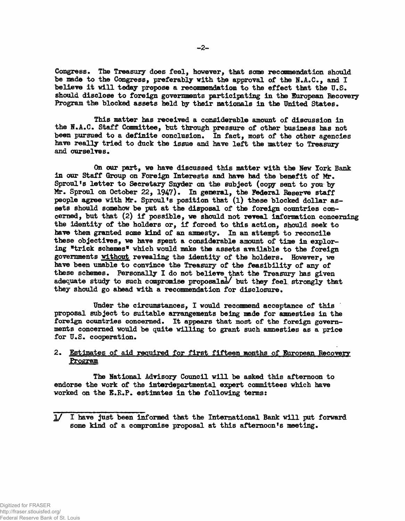**Congress. The Treasury does feel, however, that some recoamendation should be made to the Congress, preferably with the approval of the N.A.C., and I believe it will today propose a recommendation to the effect that the U.S. should disclose to foreign governments participating in the European Recovery Program the blocked assets held by their nationals in the United States.**

**This Blatter has received a considerable amount of discussion in the H.A.C. Staff Committee, but through pressure of other business has not been pursued to a definite conclusion. In fact, most of the other agencies have really tried to duck the issue and have left the matter to Treasury** and ourselves.

**On our part, we have discussed this matter with the Hew York Bank in our Staff Group on Foreign Interests and have had the benefit of Mr. Sproul<sup>f</sup>s letter to Secretary Snyder on the subject (copy sent to you by Mr. Sproul on October 22, 1947). In general, the Federal Reserve staff people agree with Mr. Sproul<sup>f</sup>s position that (l) these blocked dollar assets should somehow be pat at the disposal of the foreign countries concerned, but that (2) if possible, we should not reveal information concerning the identity of the holders or, if forced to this action, should seek to have them granted some kind of an amnesty. In an attempt to reconcile these objectives, we have spent a considerable amount of time in exploring Hrick schemes\* which would make the assets available to the foreign governments without revealing the identity of the holders. However, we have been unable to convince the Treasury of the feasibility of any of these schemes. Personally I do not believe that the Treasury has given adequate study to such compromise proposals!/ but they feel strongly that** they should go ahead with a recommendation for disclosure.

**Under the circumstances, I would recommend acceptance of this proposal subject to suitable arrangements being made for amnesties in the foreign countries concerned. It appears that most of the foreign governments concerned would be quite willing to grant such amnesties as a price for U.S. cooperation.**

## 2. Estimates of aid required for first fifteen months of European Recovery **Program**

**The National Advisory Council will be asked this afternoon to endorse the work of the interdepartmental expert committees which have worked on the I.E.P. estimates in the following terms:**

**<sup>1/</sup> I have just been informed that the International Bank will put forward some kind of a compromise proposal at this afternoon's meeting.**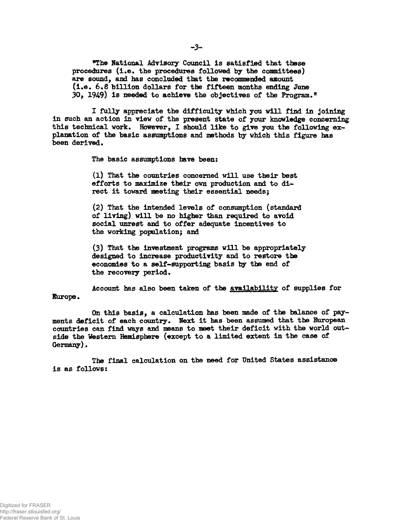**\*The National Advisory Council Is satisfied that these procedures (i.e. the procedures followed by the coamittees) are sound, and has concluded that the recommended amount** (i.e. 6.8 billion dollars for the fifteen months ending June **30, 1949) is needed to achieve the objectives of the Program."**

**I fully appreciate the difficulty which you will find in joining in such an action in view of the present state of your knowledge concerning this technical work. However, I should like to give you the following explanation of the basic assumptions and methods by which this figure lms been derived.**

**The basic assumptions have been:**

**(1) That the countries concerned will use their best efforts to maximize their own production and to di**rect it toward meeting their essential needs;

**(2) That the intended levels of consumption (standard of living) will be no higher than required to avoid social unrest and to offer adequate incentives to the working population; and**

**(3) That the investment programs will be appropriately designed to increase productivity and to restore the economies to a self-supporting basis by the end of the recovery period.**

**Account has also been taken of the availability of supplies for Europe.**

**On this basis, a calculation has been made of the balance of payments deficit of each country. Ifext it has been assumed that the European countries can find ways and means to meet their deficit with the world outside the Western Hemisphere (except to a limited extent in the case of Germany).**

**The final calculation on the need for United States assistance is as follows:**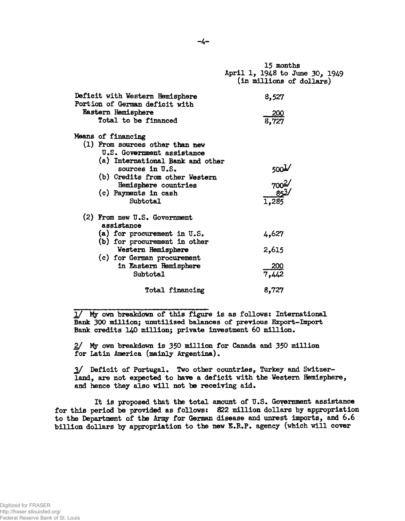|                                                                                                                                                                                                                                            | 15 months<br>April 1, 1948 to June 30, 1949<br>(in millions of dollars) |
|--------------------------------------------------------------------------------------------------------------------------------------------------------------------------------------------------------------------------------------------|-------------------------------------------------------------------------|
| Deficit with Western Hemisphere<br>Portion of German deficit with                                                                                                                                                                          | 8,527                                                                   |
| Eastern Hemisphere<br>Total to be financed                                                                                                                                                                                                 | $\frac{200}{8,727}$                                                     |
| Means of financing<br>(1) From sources other than new<br>U.S. Government assistance<br>(a) International Bank and other<br>sources in $U.S.$<br>(b) Credits from other Western<br>Hemisphere countries<br>(c) Payments in cash<br>Subtotal | $\frac{700^{2}}{700^{2}}$<br>$\frac{85^{3}}{1,285}$                     |
| (2) From new U.S. Government<br>assistance                                                                                                                                                                                                 |                                                                         |
| (a) for procurement in $U.S.$<br>(b) for procurement in other                                                                                                                                                                              | 4,627                                                                   |
| Western Hemisphere<br>(c) for German procurement                                                                                                                                                                                           | 2,615                                                                   |
| in Eastern Hemisphere<br><b>Subtotal</b>                                                                                                                                                                                                   | $\frac{200}{7,442}$                                                     |
| Total financing                                                                                                                                                                                                                            | 8,727                                                                   |

 $1/$  My own breakdown of this figure is as follows: International Bank 300 million; unutilized balances of previous Export-Import Bank credits 140 million; private investment 60 million.

2/ Ify own breakdown is 350 million for Canada and 350 million for Latin America (mainly Argentina).

2/ Deficit of Portugal. Two other countries, Turkey and Switzerland, are not expected to have a deficit with the Western Hemisphere, and hence they also will not be receiving aid.

It is proposed that the total amount of  $U.S.$  Government assistance for this period be provided as follows: 822 million dollars by appropriation to the Department of the Army for German disease and unrest imports, and 6.6 billion dollars by appropriation to the new E.R.P. agency (which will cover